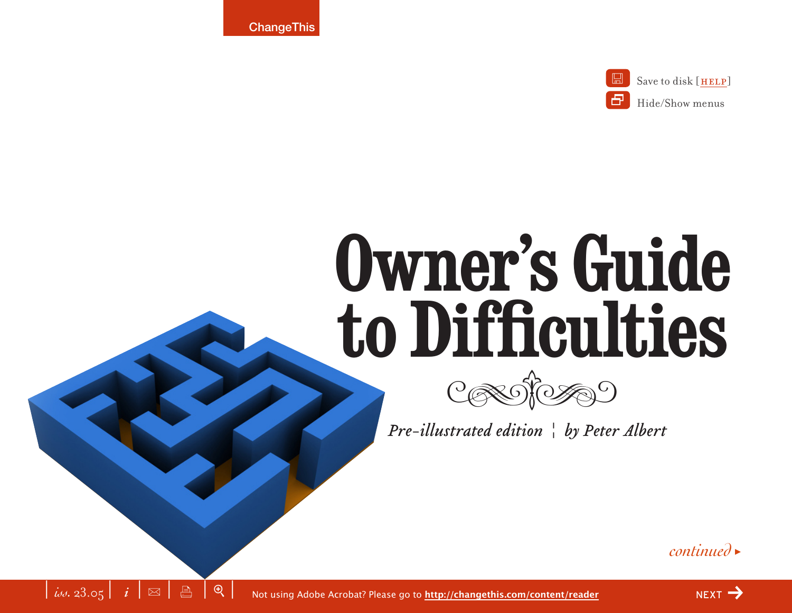**ChangeThis** 

 $\left| i\right| i\left| \infty \right|$   $\left| \infty \right|$   $\left| \infty \right|$   $\left| \infty \right|$ 



# **Owner's Guide to Difficulties**



*Pre-illustrated edition | by Peter Albert* 

*continued* <sup>&</sup>gt;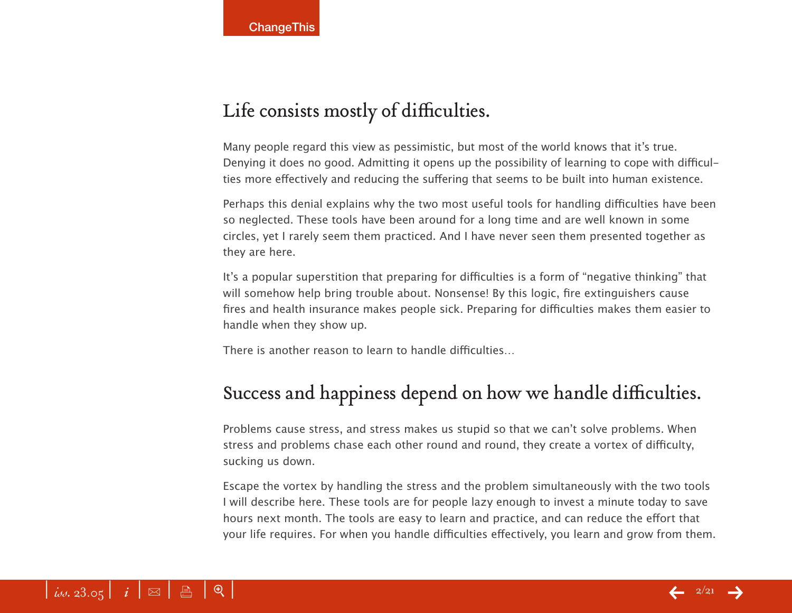# Life consists mostly of difficulties.

Many people regard this view as pessimistic, but most of the world knows that it's true. Denying it does no good. Admitting it opens up the possibility of learning to cope with difficulties more effectively and reducing the suffering that seems to be built into human existence.

Perhaps this denial explains why the two most useful tools for handling difficulties have been so neglected. These tools have been around for a long time and are well known in some circles, yet I rarely seem them practiced. And I have never seen them presented together as they are here.

It's a popular superstition that preparing for difficulties is a form of "negative thinking" that will somehow help bring trouble about. Nonsense! By this logic, fire extinguishers cause fires and health insurance makes people sick. Preparing for difficulties makes them easier to handle when they show up.

There is another reason to learn to handle difficulties…

# Success and happiness depend on how we handle difficulties.

Problems cause stress, and stress makes us stupid so that we can't solve problems. When stress and problems chase each other round and round, they create a vortex of difficulty, sucking us down.

Escape the vortex by handling the stress and the problem simultaneously with the two tools I will describe here. These tools are for people lazy enough to invest a minute today to save hours next month. The tools are easy to learn and practice, and can reduce the effort that your life requires. For when you handle difficulties effectively, you learn and grow from them.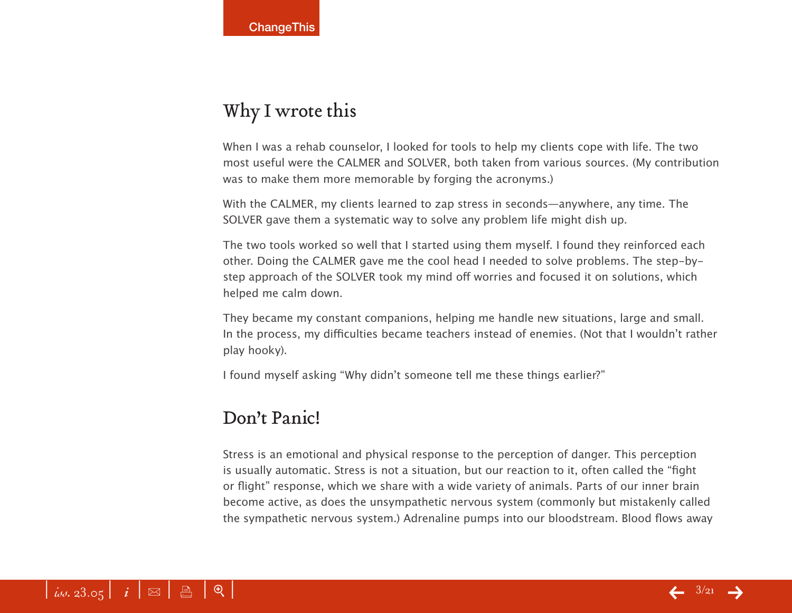## Why I wrote this

When I was a rehab counselor, I looked for tools to help my clients cope with life. The two most useful were the CALMER and SOLVER, both taken from various sources. (My contribution was to make them more memorable by forging the acronyms.)

With the CALMER, my clients learned to zap stress in seconds—anywhere, any time. The SOLVER gave them a systematic way to solve any problem life might dish up.

The two tools worked so well that I started using them myself. I found they reinforced each other. Doing the CALMER gave me the cool head I needed to solve problems. The step-bystep approach of the SOLVER took my mind off worries and focused it on solutions, which helped me calm down.

They became my constant companions, helping me handle new situations, large and small. In the process, my difficulties became teachers instead of enemies. (Not that I wouldn't rather play hooky).

I found myself asking "Why didn't someone tell me these things earlier?"

#### Don't Panic!

Stress is an emotional and physical response to the perception of danger. This perception is usually automatic. Stress is not a situation, but our reaction to it, often called the "fight or flight" response, which we share with a wide variety of animals. Parts of our inner brain become active, as does the unsympathetic nervous system (commonly but mistakenly called the sympathetic nervous system.) Adrenaline pumps into our bloodstream. Blood flows away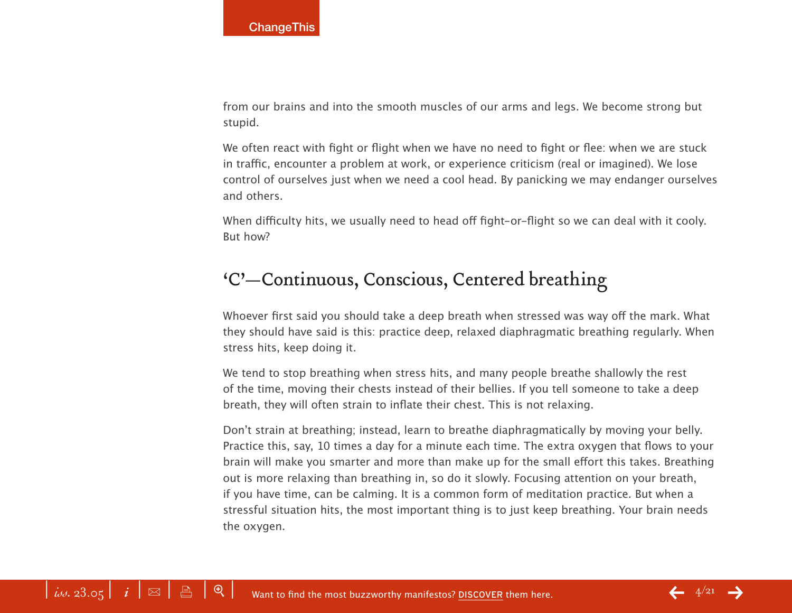from our brains and into the smooth muscles of our arms and legs. We become strong but stupid.

We often react with fight or flight when we have no need to fight or flee: when we are stuck in traffic, encounter a problem at work, or experience criticism (real or imagined). We lose control of ourselves just when we need a cool head. By panicking we may endanger ourselves and others.

When difficulty hits, we usually need to head off fight-or-flight so we can deal with it cooly. But how?

#### 'C'—Continuous, Conscious, Centered breathing

Whoever first said you should take a deep breath when stressed was way off the mark. What they should have said is this: practice deep, relaxed diaphragmatic breathing regularly. When stress hits, keep doing it.

We tend to stop breathing when stress hits, and many people breathe shallowly the rest of the time, moving their chests instead of their bellies. If you tell someone to take a deep breath, they will often strain to inflate their chest. This is not relaxing.

Don't strain at breathing; instead, learn to breathe diaphragmatically by moving your belly. Practice this, say, 10 times a day for a minute each time. The extra oxygen that flows to your brain will make you smarter and more than make up for the small effort this takes. Breathing out is more relaxing than breathing in, so do it slowly. Focusing attention on your breath, if you have time, can be calming. It is a common form of meditation practice. But when a stressful situation hits, the most important thing is to just keep breathing. Your brain needs the oxygen.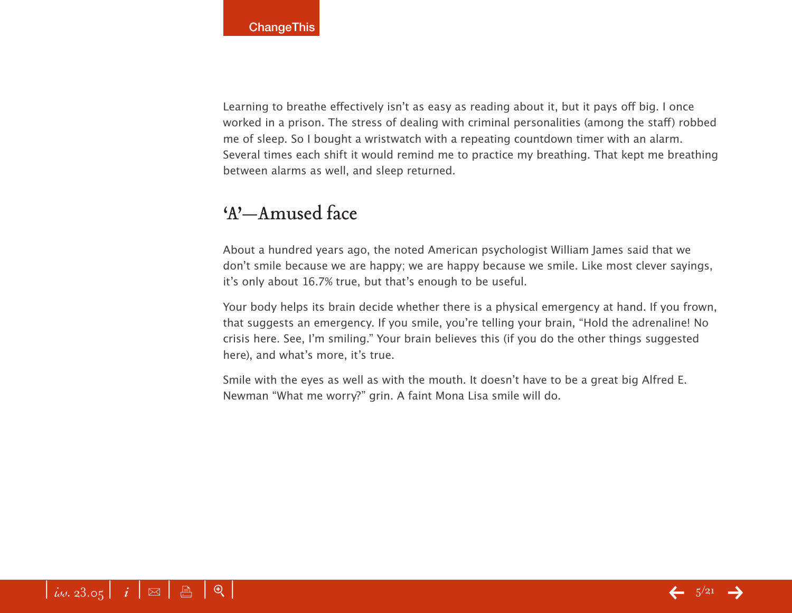Learning to breathe effectively isn't as easy as reading about it, but it pays off big. I once worked in a prison. The stress of dealing with criminal personalities (among the staff) robbed me of sleep. So I bought a wristwatch with a repeating countdown timer with an alarm. Several times each shift it would remind me to practice my breathing. That kept me breathing between alarms as well, and sleep returned.

## 'A'—Amused face

About a hundred years ago, the noted American psychologist William James said that we don't smile because we are happy; we are happy because we smile. Like most clever sayings, it's only about 16.7% true, but that's enough to be useful.

Your body helps its brain decide whether there is a physical emergency at hand. If you frown, that suggests an emergency. If you smile, you're telling your brain, "Hold the adrenaline! No crisis here. See, I'm smiling." Your brain believes this (if you do the other things suggested here), and what's more, it's true.

Smile with the eyes as well as with the mouth. It doesn't have to be a great big Alfred E. Newman "What me worry?" grin. A faint Mona Lisa smile will do.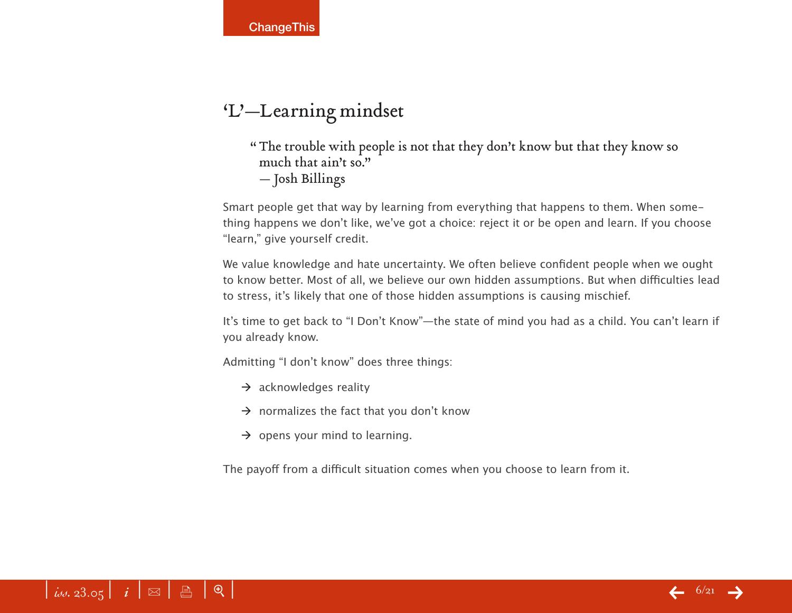## 'L'—Learning mindset

"The trouble with people is not that they don't know but that they know so much that ain't so." — Josh Billings

Smart people get that way by learning from everything that happens to them. When something happens we don't like, we've got a choice: reject it or be open and learn. If you choose "learn," give yourself credit.

We value knowledge and hate uncertainty. We often believe confident people when we ought to know better. Most of all, we believe our own hidden assumptions. But when difficulties lead to stress, it's likely that one of those hidden assumptions is causing mischief.

It's time to get back to "I Don't Know"—the state of mind you had as a child. You can't learn if you already know.

Admitting "I don't know" does three things:

- $\rightarrow$  acknowledges reality
- $\rightarrow$  normalizes the fact that you don't know
- $\rightarrow$  opens your mind to learning.

The payoff from a difficult situation comes when you choose to learn from it.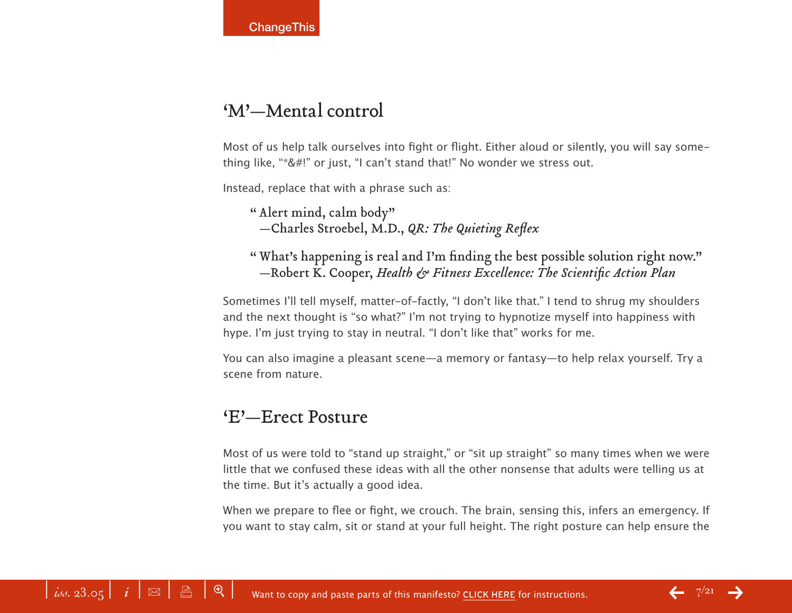## 'M'—Mental control

Most of us help talk ourselves into fight or flight. Either aloud or silently, you will say something like, "\*&#!" or just, "I can't stand that!" No wonder we stress out.

Instead, replace that with a phrase such as:

" Alert mind, calm body" —Charles Stroebel, M.D., *QR: The Quieting Reflex*

" What's happening is real and I'm finding the best possible solution right now." —Robert K. Cooper, *Health & Fitness Excellence: The Scientific Action Plan*

Sometimes I'll tell myself, matter-of-factly, "I don't like that." I tend to shrug my shoulders and the next thought is "so what?" I'm not trying to hypnotize myself into happiness with hype. I'm just trying to stay in neutral. "I don't like that" works for me.

You can also imagine a pleasant scene—a memory or fantasy—to help relax yourself. Try a scene from nature.

#### 'E'—Erect Posture

Most of us were told to "stand up straight," or "sit up straight" so many times when we were little that we confused these ideas with all the other nonsense that adults were telling us at the time. But it's actually a good idea.

When we prepare to flee or fight, we crouch. The brain, sensing this, infers an emergency. If you want to stay calm, sit or stand at your full height. The right posture can help ensure the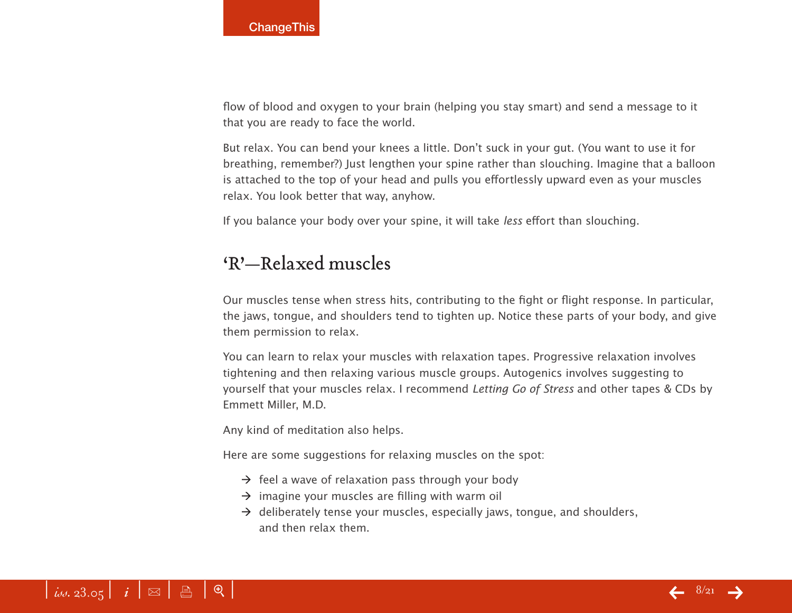flow of blood and oxygen to your brain (helping you stay smart) and send a message to it that you are ready to face the world.

But relax. You can bend your knees a little. Don't suck in your gut. (You want to use it for breathing, remember?) Just lengthen your spine rather than slouching. Imagine that a balloon is attached to the top of your head and pulls you effortlessly upward even as your muscles relax. You look better that way, anyhow.

If you balance your body over your spine, it will take less effort than slouching.

#### 'R'—Relaxed muscles

Our muscles tense when stress hits, contributing to the fight or flight response. In particular, the jaws, tongue, and shoulders tend to tighten up. Notice these parts of your body, and give them permission to relax.

You can learn to relax your muscles with relaxation tapes. Progressive relaxation involves tightening and then relaxing various muscle groups. Autogenics involves suggesting to yourself that your muscles relax. I recommend Letting Go of Stress and other tapes & CDs by Emmett Miller, M.D.

Any kind of meditation also helps.

Here are some suggestions for relaxing muscles on the spot:

- $\rightarrow$  feel a wave of relaxation pass through your body
- $\rightarrow$  imagine your muscles are filling with warm oil
- $\rightarrow$  deliberately tense your muscles, especially jaws, tongue, and shoulders, and then relax them.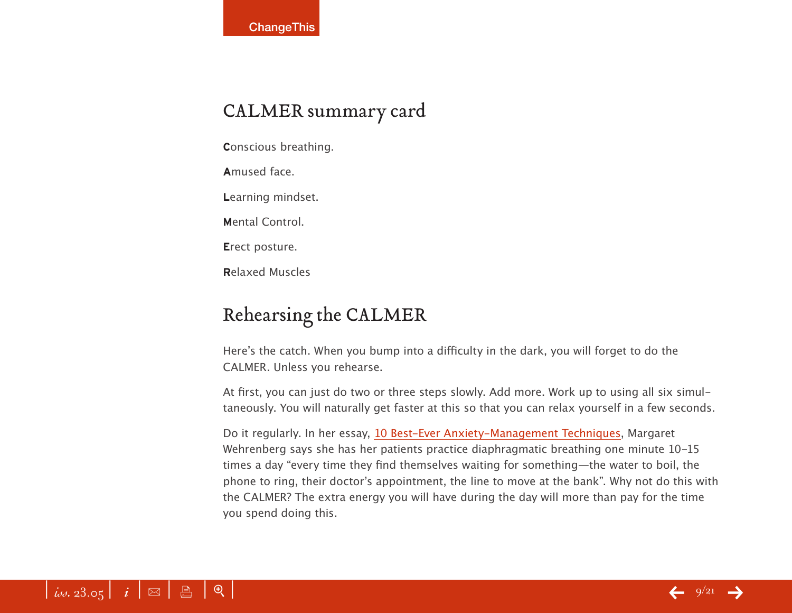## CALMER summary card

**C**onscious breathing.

**A**mused face.

**L**earning mindset.

**M**ental Control.

**E**rect posture.

**R**elaxed Muscles

# Rehearsing the CALMER

Here's the catch. When you bump into a difficulty in the dark, you will forget to do the CALMER. Unless you rehearse.

At first, you can just do two or three steps slowly. Add more. Work up to using all six simultaneously. You will naturally get faster at this so that you can relax yourself in a few seconds.

Do it regularly. In her essay, [10 Best-Ever Anxiety-Management Technique](http://www.psychotherapynetworker.org/so05_wehrenberg.html)s, Margaret Wehrenberg says she has her patients practice diaphragmatic breathing one minute 10-15 times a day "every time they find themselves waiting for something—the water to boil, the phone to ring, their doctor's appointment, the line to move at the bank". Why not do this with the CALMER? The extra energy you will have during the day will more than pay for the time you spend doing this.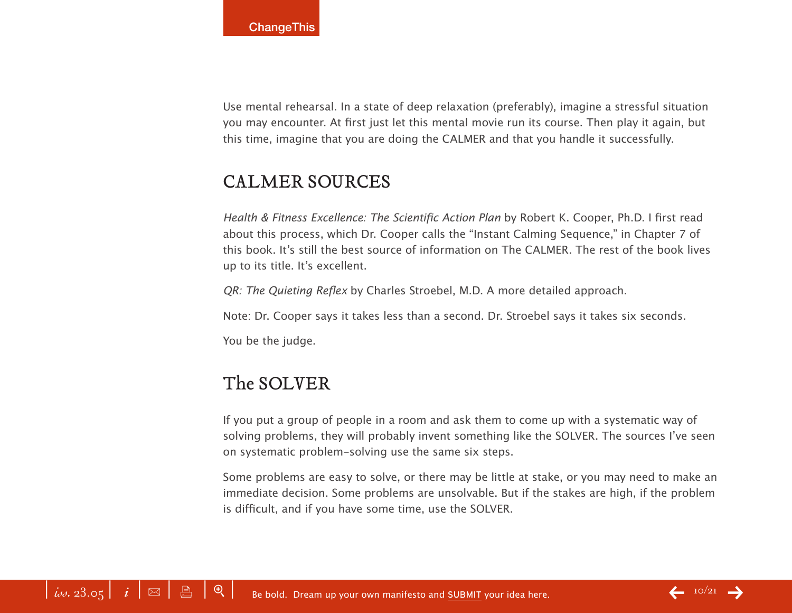Use mental rehearsal. In a state of deep relaxation (preferably), imagine a stressful situation you may encounter. At first just let this mental movie run its course. Then play it again, but this time, imagine that you are doing the CALMER and that you handle it successfully.

#### CALMER SOURCES

Health & Fitness Excellence: The Scientific Action Plan by Robert K. Cooper, Ph.D. I first read about this process, which Dr. Cooper calls the "Instant Calming Sequence," in Chapter 7 of this book. It's still the best source of information on The CALMER. The rest of the book lives up to its title. It's excellent.

QR: The Quieting Reflex by Charles Stroebel, M.D. A more detailed approach.

Note: Dr. Cooper says it takes less than a second. Dr. Stroebel says it takes six seconds.

You be the judge.

## The SOLVER

If you put a group of people in a room and ask them to come up with a systematic way of solving problems, they will probably invent something like the SOLVER. The sources I've seen on systematic problem-solving use the same six steps.

Some problems are easy to solve, or there may be little at stake, or you may need to make an immediate decision. Some problems are unsolvable. But if the stakes are high, if the problem is difficult, and if you have some time, use the SOLVER.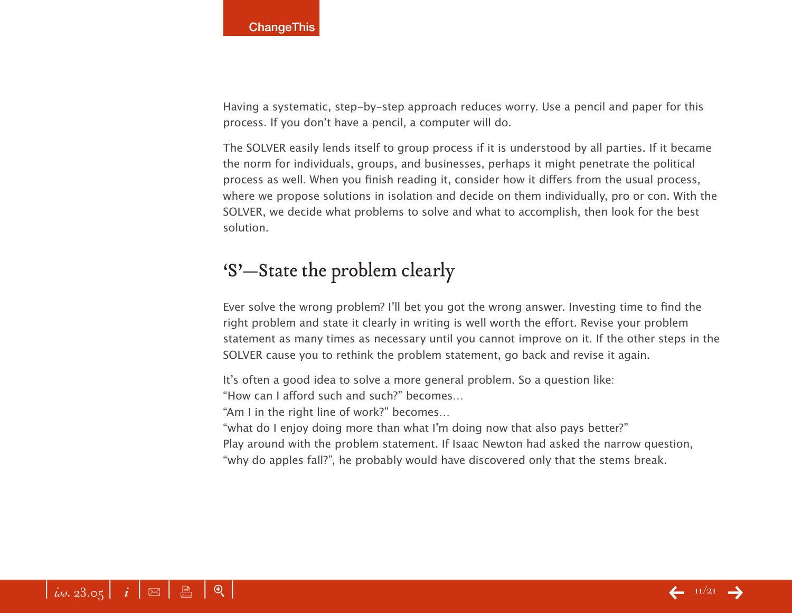Having a systematic, step-by-step approach reduces worry. Use a pencil and paper for this process. If you don't have a pencil, a computer will do.

The SOLVER easily lends itself to group process if it is understood by all parties. If it became the norm for individuals, groups, and businesses, perhaps it might penetrate the political process as well. When you finish reading it, consider how it differs from the usual process, where we propose solutions in isolation and decide on them individually, pro or con. With the SOLVER, we decide what problems to solve and what to accomplish, then look for the best solution.

### 'S'—State the problem clearly

Ever solve the wrong problem? I'll bet you got the wrong answer. Investing time to find the right problem and state it clearly in writing is well worth the effort. Revise your problem statement as many times as necessary until you cannot improve on it. If the other steps in the SOLVER cause you to rethink the problem statement, go back and revise it again.

It's often a good idea to solve a more general problem. So a question like:

"How can I afford such and such?" becomes…

"Am I in the right line of work?" becomes…

"what do I enjoy doing more than what I'm doing now that also pays better?"

Play around with the problem statement. If Isaac Newton had asked the narrow question, "why do apples fall?", he probably would have discovered only that the stems break.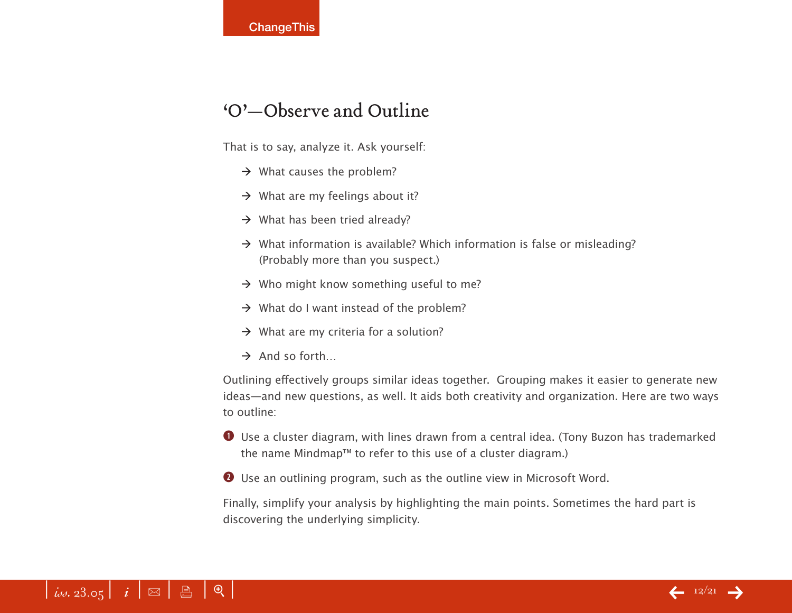#### 'O'—Observe and Outline

That is to say, analyze it. Ask yourself:

- $\rightarrow$  What causes the problem?
- $\rightarrow$  What are my feelings about it?
- $\rightarrow$  What has been tried already?
- $\rightarrow$  What information is available? Which information is false or misleading? (Probably more than you suspect.)
- $\rightarrow$  Who might know something useful to me?
- $\rightarrow$  What do I want instead of the problem?
- $\rightarrow$  What are my criteria for a solution?
- $\rightarrow$  And so forth...

Outlining effectively groups similar ideas together. Grouping makes it easier to generate new ideas—and new questions, as well. It aids both creativity and organization. Here are two ways to outline:

**q** Use a cluster diagram, with lines drawn from a central idea. (Tony Buzon has trademarked the name Mindmap™ to refer to this use of a cluster diagram.)

 $\bullet$  Use an outlining program, such as the outline view in Microsoft Word.

Finally, simplify your analysis by highlighting the main points. Sometimes the hard part is discovering the underlying simplicity.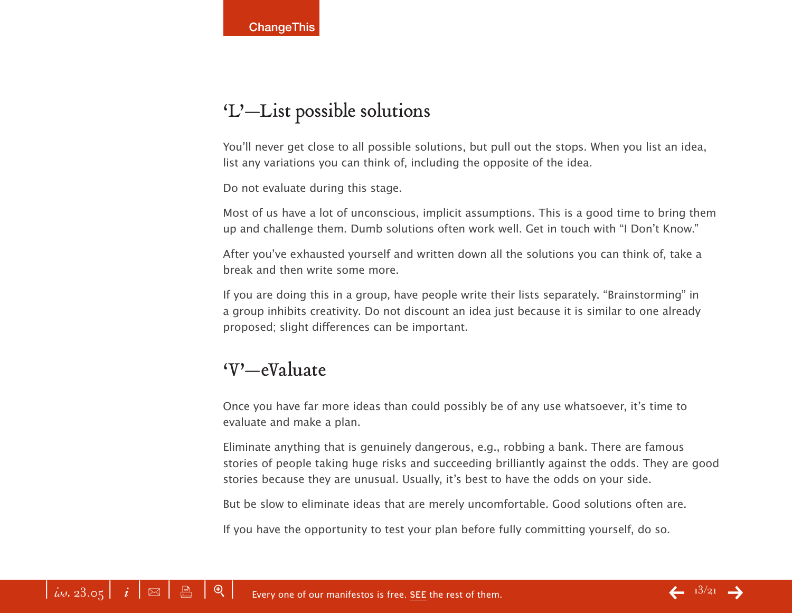# 'L'—List possible solutions

You'll never get close to all possible solutions, but pull out the stops. When you list an idea, list any variations you can think of, including the opposite of the idea.

Do not evaluate during this stage.

Most of us have a lot of unconscious, implicit assumptions. This is a good time to bring them up and challenge them. Dumb solutions often work well. Get in touch with "I Don't Know."

After you've exhausted yourself and written down all the solutions you can think of, take a break and then write some more.

If you are doing this in a group, have people write their lists separately. "Brainstorming" in a group inhibits creativity. Do not discount an idea just because it is similar to one already proposed; slight differences can be important.

#### 'V'—eValuate

Once you have far more ideas than could possibly be of any use whatsoever, it's time to evaluate and make a plan.

Eliminate anything that is genuinely dangerous, e.g., robbing a bank. There are famous stories of people taking huge risks and succeeding brilliantly against the odds. They are good stories because they are unusual. Usually, it's best to have the odds on your side.

But be slow to eliminate ideas that are merely uncomfortable. Good solutions often are.

If you have the opportunity to test your plan before fully committing yourself, do so.

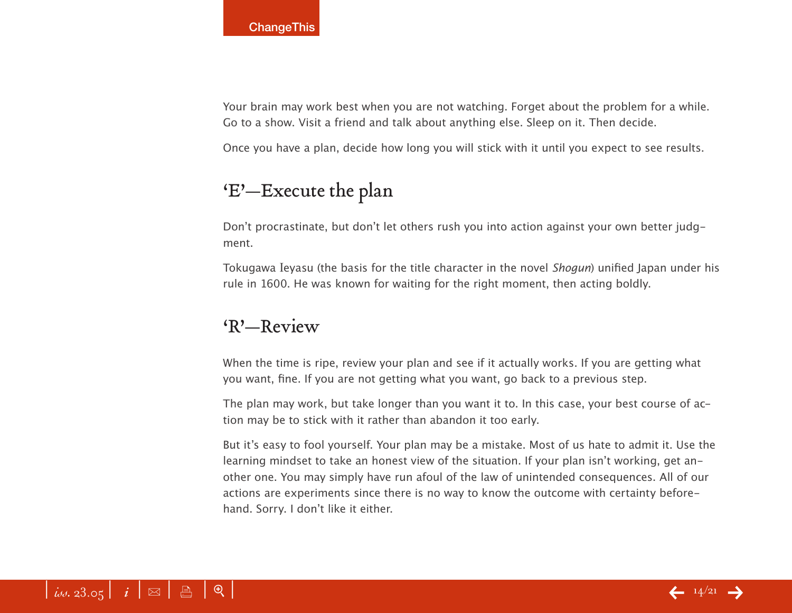Your brain may work best when you are not watching. Forget about the problem for a while. Go to a show. Visit a friend and talk about anything else. Sleep on it. Then decide.

Once you have a plan, decide how long you will stick with it until you expect to see results.

## 'E'—Execute the plan

Don't procrastinate, but don't let others rush you into action against your own better judgment.

Tokugawa Ieyasu (the basis for the title character in the novel Shogun) unified Japan under his rule in 1600. He was known for waiting for the right moment, then acting boldly.

#### 'R'—Review

When the time is ripe, review your plan and see if it actually works. If you are getting what you want, fine. If you are not getting what you want, go back to a previous step.

The plan may work, but take longer than you want it to. In this case, your best course of action may be to stick with it rather than abandon it too early.

But it's easy to fool yourself. Your plan may be a mistake. Most of us hate to admit it. Use the learning mindset to take an honest view of the situation. If your plan isn't working, get another one. You may simply have run afoul of the law of unintended consequences. All of our actions are experiments since there is no way to know the outcome with certainty beforehand. Sorry. I don't like it either.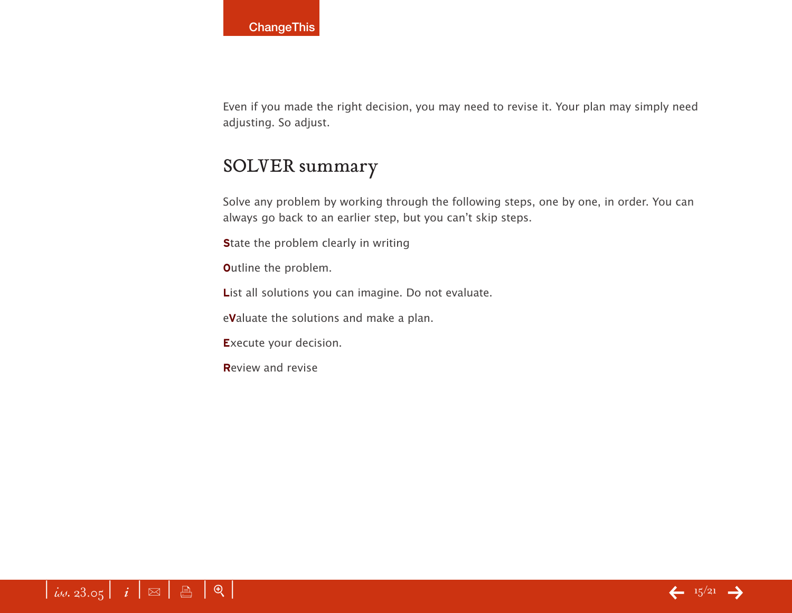Even if you made the right decision, you may need to revise it. Your plan may simply need adjusting. So adjust.

#### SOLVER summary

Solve any problem by working through the following steps, one by one, in order. You can always go back to an earlier step, but you can't skip steps.

**State the problem clearly in writing** 

**O**utline the problem.

List all solutions you can imagine. Do not evaluate.

e**V**aluate the solutions and make a plan.

**E**xecute your decision.

**R**eview and revise

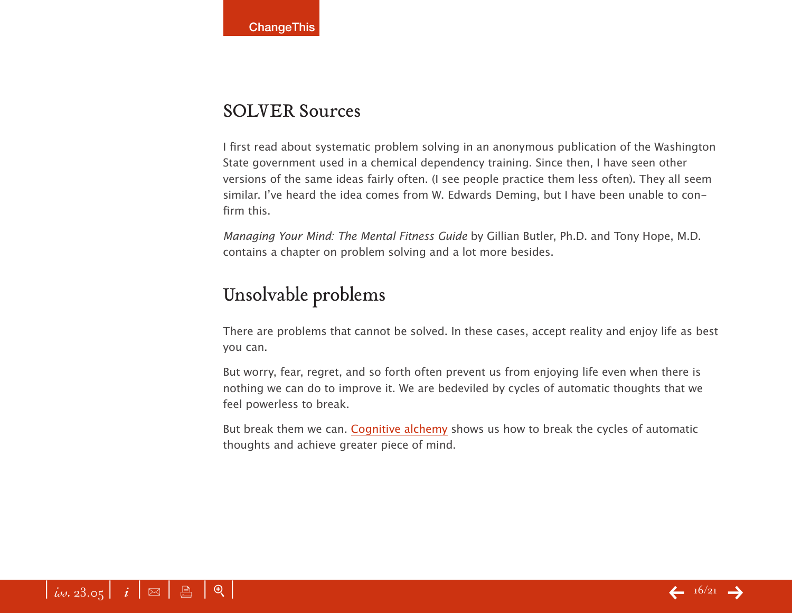#### SOLVER Sources

I first read about systematic problem solving in an anonymous publication of the Washington State government used in a chemical dependency training. Since then, I have seen other versions of the same ideas fairly often. (I see people practice them less often). They all seem similar. I've heard the idea comes from W. Edwards Deming, but I have been unable to confirm this.

Managing Your Mind: The Mental Fitness Guide by Gillian Butler, Ph.D. and Tony Hope, M.D. contains a chapter on problem solving and a lot more besides.

## Unsolvable problems

There are problems that cannot be solved. In these cases, accept reality and enjoy life as best you can.

But worry, fear, regret, and so forth often prevent us from enjoying life even when there is nothing we can do to improve it. We are bedeviled by cycles of automatic thoughts that we feel powerless to break.

But break them we can. [Cognitive alchemy](http://www.lifestoolkit.com/difficulties/cognitive_alchemy.htm) shows us how to break the cycles of automatic thoughts and achieve greater piece of mind.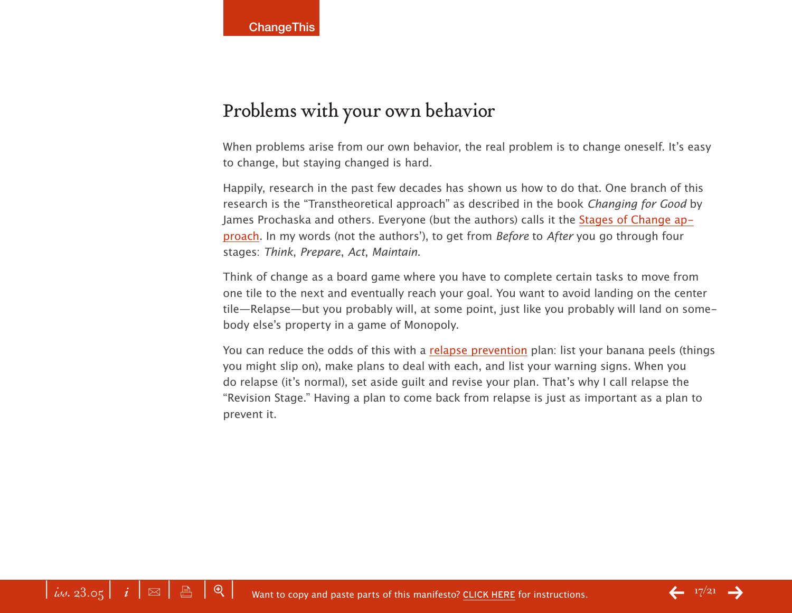## Problems with your own behavior

When problems arise from our own behavior, the real problem is to change oneself. It's easy to change, but staying changed is hard.

Happily, research in the past few decades has shown us how to do that. One branch of this research is the "Transtheoretical approach" as described in the book Changing for Good by James Prochaska and others. Everyone (but the authors) calls it the [Stages of Change ap](http://www.lifestoolkit.com/difficulties/stages_of_change.htm)[proach](http://www.lifestoolkit.com/difficulties/stages_of_change.htm). In my words (not the authors'), to get from Before to After you go through four stages: Think, Prepare, Act, Maintain.

Think of change as a board game where you have to complete certain tasks to move from one tile to the next and eventually reach your goal. You want to avoid landing on the center tile—Relapse—but you probably will, at some point, just like you probably will land on somebody else's property in a game of Monopoly.

You can reduce the odds of this with a [relapse prevention](http://www.lifestoolkit.com/difficulties/relapse_prevention.htm) plan: list your banana peels (things you might slip on), make plans to deal with each, and list your warning signs. When you do relapse (it's normal), set aside guilt and revise your plan. That's why I call relapse the "Revision Stage." Having a plan to come back from relapse is just as important as a plan to prevent it.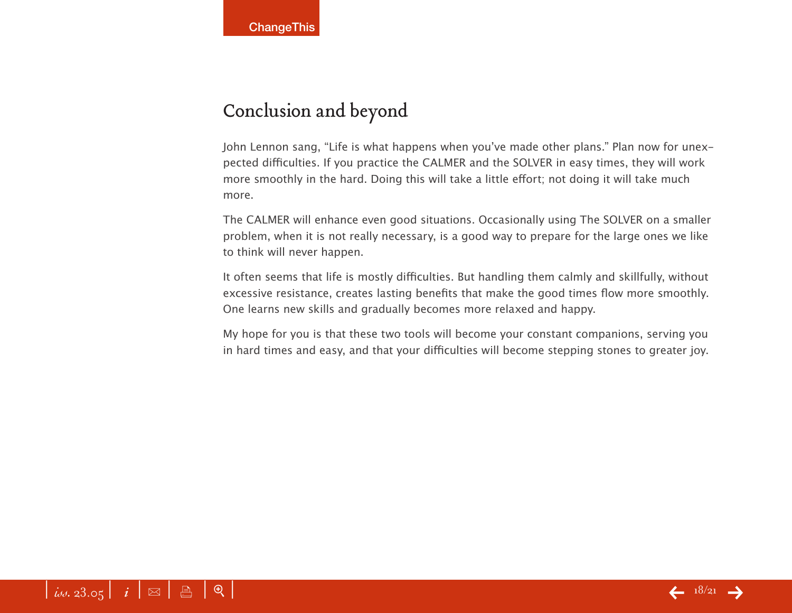## Conclusion and beyond

John Lennon sang, "Life is what happens when you've made other plans." Plan now for unexpected difficulties. If you practice the CALMER and the SOLVER in easy times, they will work more smoothly in the hard. Doing this will take a little effort; not doing it will take much more.

The CALMER will enhance even good situations. Occasionally using The SOLVER on a smaller problem, when it is not really necessary, is a good way to prepare for the large ones we like to think will never happen.

It often seems that life is mostly difficulties. But handling them calmly and skillfully, without excessive resistance, creates lasting benefits that make the good times flow more smoothly. One learns new skills and gradually becomes more relaxed and happy.

My hope for you is that these two tools will become your constant companions, serving you in hard times and easy, and that your difficulties will become stepping stones to greater joy.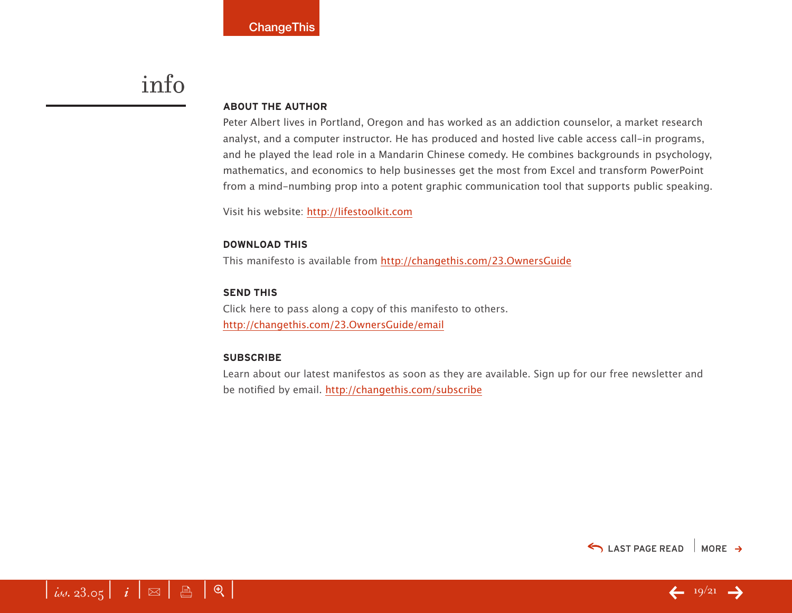# info

#### **About the Author**

Peter Albert lives in Portland, Oregon and has worked as an addiction counselor, a market research analyst, and a computer instructor. He has produced and hosted live cable access call-in programs, and he played the lead role in a Mandarin Chinese comedy. He combines backgrounds in psychology, mathematics, and economics to help businesses get the most from Excel and transform PowerPoint from a mind-numbing prop into a potent graphic communication tool that supports public speaking.

Visit his website: <http://lifestoolkit.com>

#### **download this**

This manifesto is available from <http://changethis.com/23.OwnersGuide>

#### **send this**

Click here to pass along a copy of this manifesto to others. <http://changethis.com/23.OwnersGuide/email>

#### **Subscribe**

Learn about our latest manifestos as soon as they are available. Sign up for our free newsletter and be notified by email.<http://changethis.com/subscribe>



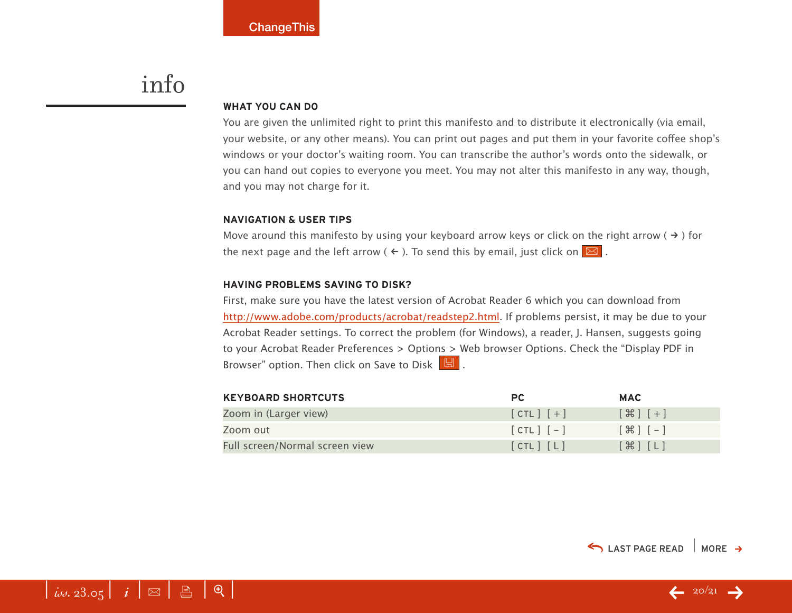# <span id="page-19-0"></span>info

#### **WHAT YOU CAN DO**

You are given the unlimited right to print this manifesto and to distribute it electronically (via email, your website, or any other means). You can print out pages and put them in your favorite coffee shop's windows or your doctor's waiting room. You can transcribe the author's words onto the sidewalk, or you can hand out copies to everyone you meet. You may not alter this manifesto in any way, though, and you may not charge for it.

#### **Navigation & User Tips**

Move around this manifesto by using your keyboard arrow keys or click on the right arrow ( $\rightarrow$ ) for the next page and the left arrow (  $\leftarrow$  ). To send this by email, just click on  $\boxed{\boxtimes}$  .

#### **Having problems saving to disk?**

First, make sure you have the latest version of Acrobat Reader 6 which you can download from [http://www.adobe.com/products/acrobat/readstep2.html.](http://www.adobe.com/products/acrobat/readstep2.html) If problems persist, it may be due to your Acrobat Reader settings. To correct the problem (for Windows), a reader, J. Hansen, suggests going to your Acrobat Reader Preferences > Options > Web browser Options. Check the "Display PDF in Browser" option. Then click on Save to Disk  $\boxed{\boxtimes}$ .

| <b>KEYBOARD SHORTCUTS</b>      | PC.           | <b>MAC</b>                        |
|--------------------------------|---------------|-----------------------------------|
| Zoom in (Larger view)          | $[CIL]$ $[+]$ | $[$ $\mathcal{H}$ $]$ $[$ $+$ $]$ |
| Zoom out                       | $[CIL]$ $[-]$ | $[ H ] - ]$                       |
| Full screen/Normal screen view | [CHL] [L]     | $[\mathcal{H}]$ $[L]$             |